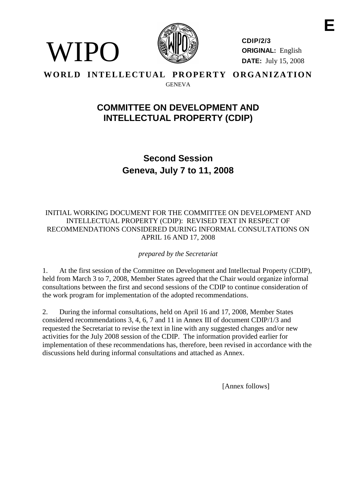

WIPO

**CDIP/2/3 ORIGINAL:** English **DATE:** July 15, 2008

**WORLD INTELLECTUAL PROPERTY ORGANIZATION** GENEVA

# **COMMITTEE ON DEVELOPMENT AND INTELLECTUAL PROPERTY (CDIP)**

**Second Session Geneva, July 7 to 11, 2008**

#### INITIAL WORKING DOCUMENT FOR THE COMMITTEE ON DEVELOPMENT AND INTELLECTUAL PROPERTY (CDIP): REVISED TEXT IN RESPECT OF RECOMMENDATIONS CONSIDERED DURING INFORMAL CONSULTATIONS ON APRIL 16 AND 17, 2008

*prepared by the Secretariat*

1. At the first session of the Committee on Development and Intellectual Property (CDIP), held from March 3 to 7, 2008, Member States agreed that the Chair would organize informal consultations between the first and second sessions of the CDIP to continue consideration of the work program for implementation of the adopted recommendations.

2. During the informal consultations, held on April 16 and 17, 2008, Member States considered recommendations 3, 4, 6, 7 and 11 in Annex III of document CDIP/1/3 and requested the Secretariat to revise the text in line with any suggested changes and/or new activities for the July 2008 session of the CDIP. The information provided earlier for implementation of these recommendations has, therefore, been revised in accordance with the discussions held during informal consultations and attached as Annex.

[Annex follows]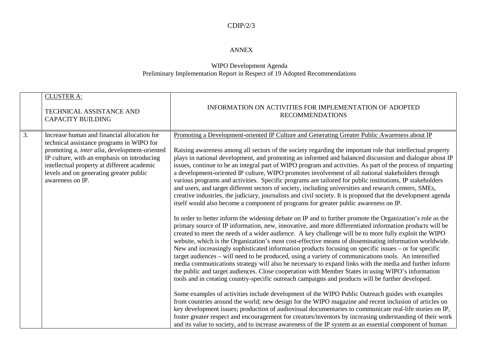#### CDIP/2/3

#### ANNEX

#### WIPO Development Agenda Preliminary Implementation Report in Respect of 19 Adopted Recommendations

|    | <b>CLUSTER A:</b>                                                                                          |                                                                                                                                                                                                                                                                                                                                                                                                                                                                                                                                                                                                                                                                                                                                                                                                                                                                                                                                                                              |
|----|------------------------------------------------------------------------------------------------------------|------------------------------------------------------------------------------------------------------------------------------------------------------------------------------------------------------------------------------------------------------------------------------------------------------------------------------------------------------------------------------------------------------------------------------------------------------------------------------------------------------------------------------------------------------------------------------------------------------------------------------------------------------------------------------------------------------------------------------------------------------------------------------------------------------------------------------------------------------------------------------------------------------------------------------------------------------------------------------|
|    | TECHNICAL ASSISTANCE AND<br><b>CAPACITY BUILDING</b>                                                       | INFORMATION ON ACTIVITIES FOR IMPLEMENTATION OF ADOPTED<br><b>RECOMMENDATIONS</b>                                                                                                                                                                                                                                                                                                                                                                                                                                                                                                                                                                                                                                                                                                                                                                                                                                                                                            |
|    |                                                                                                            |                                                                                                                                                                                                                                                                                                                                                                                                                                                                                                                                                                                                                                                                                                                                                                                                                                                                                                                                                                              |
| 3. | Increase human and financial allocation for<br>technical assistance programs in WIPO for                   | Promoting a Development-oriented IP Culture and Generating Greater Public Awareness about IP                                                                                                                                                                                                                                                                                                                                                                                                                                                                                                                                                                                                                                                                                                                                                                                                                                                                                 |
|    | promoting a, inter alia, development-oriented<br>IP culture, with an emphasis on introducing               | Raising awareness among all sectors of the society regarding the important role that intellectual property<br>plays in national development, and promoting an informed and balanced discussion and dialogue about IP                                                                                                                                                                                                                                                                                                                                                                                                                                                                                                                                                                                                                                                                                                                                                         |
|    | intellectual property at different academic<br>levels and on generating greater public<br>awareness on IP. | issues, continue to be an integral part of WIPO program and activities. As part of the process of imparting<br>a development-oriented IP culture, WIPO promotes involvement of all national stakeholders through<br>various programs and activities. Specific programs are tailored for public institutions, IP stakeholders<br>and users, and target different sectors of society, including universities and research centers, SMEs,<br>creative industries, the judiciary, journalists and civil society. It is proposed that the development agenda                                                                                                                                                                                                                                                                                                                                                                                                                      |
|    |                                                                                                            | itself would also become a component of programs for greater public awareness on IP.                                                                                                                                                                                                                                                                                                                                                                                                                                                                                                                                                                                                                                                                                                                                                                                                                                                                                         |
|    |                                                                                                            | In order to better inform the widening debate on IP and to further promote the Organization's role as the<br>primary source of IP information, new, innovative, and more differentiated information products will be<br>created to meet the needs of a wider audience. A key challenge will be to more fully exploit the WIPO<br>website, which is the Organization's most cost-effective means of disseminating information worldwide.<br>New and increasingly sophisticated information products focusing on specific issues – or for specific<br>target audiences - will need to be produced, using a variety of communications tools. An intensified<br>media communications strategy will also be necessary to expand links with the media and further inform<br>the public and target audiences. Close cooperation with Member States in using WIPO's information<br>tools and in creating country-specific outreach campaigns and products will be further developed. |
|    |                                                                                                            | Some examples of activities include development of the WIPO Public Outreach guides with examples<br>from countries around the world; new design for the WIPO magazine and recent inclusion of articles on                                                                                                                                                                                                                                                                                                                                                                                                                                                                                                                                                                                                                                                                                                                                                                    |
|    |                                                                                                            | key development issues; production of audiovisual documentaries to communicate real-life stories on IP,<br>foster greater respect and encouragement for creators/inventors by increasing understanding of their work                                                                                                                                                                                                                                                                                                                                                                                                                                                                                                                                                                                                                                                                                                                                                         |
|    |                                                                                                            | and its value to society, and to increase awareness of the IP system as an essential component of human                                                                                                                                                                                                                                                                                                                                                                                                                                                                                                                                                                                                                                                                                                                                                                                                                                                                      |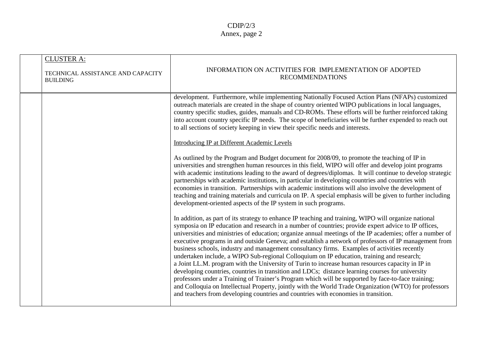| <b>CLUSTER A:</b><br>TECHNICAL ASSISTANCE AND CAPACITY<br><b>BUILDING</b> | INFORMATION ON ACTIVITIES FOR IMPLEMENTATION OF ADOPTED<br><b>RECOMMENDATIONS</b>                                                                                                                                                                                                                                                                                                                                                                                                                                                                                                                                                                                                                                                                                                                                                                                                                                                                                                                                                                                                                                                               |
|---------------------------------------------------------------------------|-------------------------------------------------------------------------------------------------------------------------------------------------------------------------------------------------------------------------------------------------------------------------------------------------------------------------------------------------------------------------------------------------------------------------------------------------------------------------------------------------------------------------------------------------------------------------------------------------------------------------------------------------------------------------------------------------------------------------------------------------------------------------------------------------------------------------------------------------------------------------------------------------------------------------------------------------------------------------------------------------------------------------------------------------------------------------------------------------------------------------------------------------|
|                                                                           | development. Furthermore, while implementing Nationally Focused Action Plans (NFAPs) customized<br>outreach materials are created in the shape of country oriented WIPO publications in local languages,<br>country specific studies, guides, manuals and CD-ROMs. These efforts will be further reinforced taking<br>into account country specific IP needs. The scope of beneficiaries will be further expended to reach out<br>to all sections of society keeping in view their specific needs and interests.                                                                                                                                                                                                                                                                                                                                                                                                                                                                                                                                                                                                                                |
|                                                                           | <b>Introducing IP at Different Academic Levels</b>                                                                                                                                                                                                                                                                                                                                                                                                                                                                                                                                                                                                                                                                                                                                                                                                                                                                                                                                                                                                                                                                                              |
|                                                                           | As outlined by the Program and Budget document for 2008/09, to promote the teaching of IP in<br>universities and strengthen human resources in this field, WIPO will offer and develop joint programs<br>with academic institutions leading to the award of degrees/diplomas. It will continue to develop strategic<br>partnerships with academic institutions, in particular in developing countries and countries with<br>economies in transition. Partnerships with academic institutions will also involve the development of<br>teaching and training materials and curricula on IP. A special emphasis will be given to further including<br>development-oriented aspects of the IP system in such programs.                                                                                                                                                                                                                                                                                                                                                                                                                              |
|                                                                           | In addition, as part of its strategy to enhance IP teaching and training, WIPO will organize national<br>symposia on IP education and research in a number of countries; provide expert advice to IP offices,<br>universities and ministries of education; organize annual meetings of the IP academies; offer a number of<br>executive programs in and outside Geneva; and establish a network of professors of IP management from<br>business schools, industry and management consultancy firms. Examples of activities recently<br>undertaken include, a WIPO Sub-regional Colloquium on IP education, training and research;<br>a Joint LL.M. program with the University of Turin to increase human resources capacity in IP in<br>developing countries, countries in transition and LDCs; distance learning courses for university<br>professors under a Training of Trainer's Program which will be supported by face-to-face training;<br>and Colloquia on Intellectual Property, jointly with the World Trade Organization (WTO) for professors<br>and teachers from developing countries and countries with economies in transition. |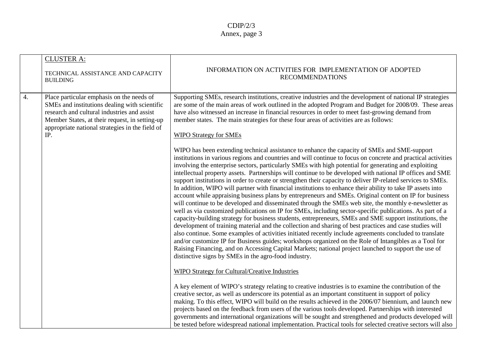|                  | <b>CLUSTER A:</b><br>TECHNICAL ASSISTANCE AND CAPACITY<br><b>BUILDING</b>                                                                                                                                                                             | INFORMATION ON ACTIVITIES FOR IMPLEMENTATION OF ADOPTED<br><b>RECOMMENDATIONS</b>                                                                                                                                                                                                                                                                                                                                                                                                                                                                                                                                                                                                                                                                                                                                                                                                                                                                                                                                                                                                                                                                                                                                                                                                                                                                                                                                                                                                                                                                                                                          |
|------------------|-------------------------------------------------------------------------------------------------------------------------------------------------------------------------------------------------------------------------------------------------------|------------------------------------------------------------------------------------------------------------------------------------------------------------------------------------------------------------------------------------------------------------------------------------------------------------------------------------------------------------------------------------------------------------------------------------------------------------------------------------------------------------------------------------------------------------------------------------------------------------------------------------------------------------------------------------------------------------------------------------------------------------------------------------------------------------------------------------------------------------------------------------------------------------------------------------------------------------------------------------------------------------------------------------------------------------------------------------------------------------------------------------------------------------------------------------------------------------------------------------------------------------------------------------------------------------------------------------------------------------------------------------------------------------------------------------------------------------------------------------------------------------------------------------------------------------------------------------------------------------|
| $\overline{4}$ . | Place particular emphasis on the needs of<br>SMEs and institutions dealing with scientific<br>research and cultural industries and assist<br>Member States, at their request, in setting-up<br>appropriate national strategies in the field of<br>IP. | Supporting SMEs, research institutions, creative industries and the development of national IP strategies<br>are some of the main areas of work outlined in the adopted Program and Budget for 2008/09. These areas<br>have also witnessed an increase in financial resources in order to meet fast-growing demand from<br>member states. The main strategies for these four areas of activities are as follows:<br><b>WIPO Strategy for SMEs</b>                                                                                                                                                                                                                                                                                                                                                                                                                                                                                                                                                                                                                                                                                                                                                                                                                                                                                                                                                                                                                                                                                                                                                          |
|                  |                                                                                                                                                                                                                                                       | WIPO has been extending technical assistance to enhance the capacity of SMEs and SME-support<br>institutions in various regions and countries and will continue to focus on concrete and practical activities<br>involving the enterprise sectors, particularly SMEs with high potential for generating and exploiting<br>intellectual property assets. Partnerships will continue to be developed with national IP offices and SME<br>support institutions in order to create or strengthen their capacity to deliver IP-related services to SMEs.<br>In addition, WIPO will partner with financial institutions to enhance their ability to take IP assets into<br>account while appraising business plans by entrepreneurs and SMEs. Original content on IP for business<br>will continue to be developed and disseminated through the SMEs web site, the monthly e-newsletter as<br>well as via customized publications on IP for SMEs, including sector-specific publications. As part of a<br>capacity-building strategy for business students, entrepreneurs, SMEs and SME support institutions, the<br>development of training material and the collection and sharing of best practices and case studies will<br>also continue. Some examples of activities initiated recently include agreements concluded to translate<br>and/or customize IP for Business guides; workshops organized on the Role of Intangibles as a Tool for<br>Raising Financing, and on Accessing Capital Markets; national project launched to support the use of<br>distinctive signs by SMEs in the agro-food industry. |
|                  |                                                                                                                                                                                                                                                       | <b>WIPO Strategy for Cultural/Creative Industries</b><br>A key element of WIPO's strategy relating to creative industries is to examine the contribution of the<br>creative sector, as well as underscore its potential as an important constituent in support of policy<br>making. To this effect, WIPO will build on the results achieved in the 2006/07 biennium, and launch new<br>projects based on the feedback from users of the various tools developed. Partnerships with interested<br>governments and international organizations will be sought and strengthened and products developed will<br>be tested before widespread national implementation. Practical tools for selected creative sectors will also                                                                                                                                                                                                                                                                                                                                                                                                                                                                                                                                                                                                                                                                                                                                                                                                                                                                                   |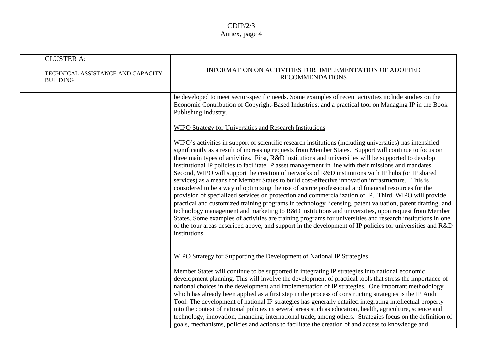| <b>CLUSTER A:</b><br>TECHNICAL ASSISTANCE AND CAPACITY<br><b>BUILDING</b> | INFORMATION ON ACTIVITIES FOR IMPLEMENTATION OF ADOPTED<br><b>RECOMMENDATIONS</b>                                                                                                                                                                                                                                                                                                                                                                                                                                                                                                                                                                                                                                                                                                                                                                                                                                                                                                                                                                                                                                                                                                                                                                                                                                                |
|---------------------------------------------------------------------------|----------------------------------------------------------------------------------------------------------------------------------------------------------------------------------------------------------------------------------------------------------------------------------------------------------------------------------------------------------------------------------------------------------------------------------------------------------------------------------------------------------------------------------------------------------------------------------------------------------------------------------------------------------------------------------------------------------------------------------------------------------------------------------------------------------------------------------------------------------------------------------------------------------------------------------------------------------------------------------------------------------------------------------------------------------------------------------------------------------------------------------------------------------------------------------------------------------------------------------------------------------------------------------------------------------------------------------|
|                                                                           | be developed to meet sector-specific needs. Some examples of recent activities include studies on the<br>Economic Contribution of Copyright-Based Industries; and a practical tool on Managing IP in the Book<br>Publishing Industry.                                                                                                                                                                                                                                                                                                                                                                                                                                                                                                                                                                                                                                                                                                                                                                                                                                                                                                                                                                                                                                                                                            |
|                                                                           | <b>WIPO Strategy for Universities and Research Institutions</b>                                                                                                                                                                                                                                                                                                                                                                                                                                                                                                                                                                                                                                                                                                                                                                                                                                                                                                                                                                                                                                                                                                                                                                                                                                                                  |
|                                                                           | WIPO's activities in support of scientific research institutions (including universities) has intensified<br>significantly as a result of increasing requests from Member States. Support will continue to focus on<br>three main types of activities. First, R&D institutions and universities will be supported to develop<br>institutional IP policies to facilitate IP asset management in line with their missions and mandates.<br>Second, WIPO will support the creation of networks of R&D institutions with IP hubs (or IP shared<br>services) as a means for Member States to build cost-effective innovation infrastructure. This is<br>considered to be a way of optimizing the use of scarce professional and financial resources for the<br>provision of specialized services on protection and commercialization of IP. Third, WIPO will provide<br>practical and customized training programs in technology licensing, patent valuation, patent drafting, and<br>technology management and marketing to R&D institutions and universities, upon request from Member<br>States. Some examples of activities are training programs for universities and research institutions in one<br>of the four areas described above; and support in the development of IP policies for universities and R&D<br>institutions. |
|                                                                           | WIPO Strategy for Supporting the Development of National IP Strategies                                                                                                                                                                                                                                                                                                                                                                                                                                                                                                                                                                                                                                                                                                                                                                                                                                                                                                                                                                                                                                                                                                                                                                                                                                                           |
|                                                                           | Member States will continue to be supported in integrating IP strategies into national economic<br>development planning. This will involve the development of practical tools that stress the importance of<br>national choices in the development and implementation of IP strategies. One important methodology<br>which has already been applied as a first step in the process of constructing strategies is the IP Audit<br>Tool. The development of national IP strategies has generally entailed integrating intellectual property<br>into the context of national policies in several areas such as education, health, agriculture, science and<br>technology, innovation, financing, international trade, among others. Strategies focus on the definition of<br>goals, mechanisms, policies and actions to facilitate the creation of and access to knowledge and                                                                                                                                                                                                                                                                                                                                                                                                                                                      |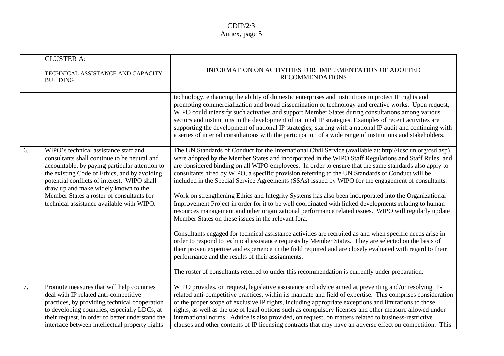|    | <b>CLUSTER A:</b><br>TECHNICAL ASSISTANCE AND CAPACITY<br><b>BUILDING</b>                                                                                                                                                                                                                                                                                                | INFORMATION ON ACTIVITIES FOR IMPLEMENTATION OF ADOPTED<br><b>RECOMMENDATIONS</b>                                                                                                                                                                                                                                                                                                                                                                                                                                                                                                                                                                                                                                                                                                                                                                                                                                                                                                                                                                                                                                                                                                                                                                                                                                                                                                                                     |
|----|--------------------------------------------------------------------------------------------------------------------------------------------------------------------------------------------------------------------------------------------------------------------------------------------------------------------------------------------------------------------------|-----------------------------------------------------------------------------------------------------------------------------------------------------------------------------------------------------------------------------------------------------------------------------------------------------------------------------------------------------------------------------------------------------------------------------------------------------------------------------------------------------------------------------------------------------------------------------------------------------------------------------------------------------------------------------------------------------------------------------------------------------------------------------------------------------------------------------------------------------------------------------------------------------------------------------------------------------------------------------------------------------------------------------------------------------------------------------------------------------------------------------------------------------------------------------------------------------------------------------------------------------------------------------------------------------------------------------------------------------------------------------------------------------------------------|
|    |                                                                                                                                                                                                                                                                                                                                                                          | technology, enhancing the ability of domestic enterprises and institutions to protect IP rights and<br>promoting commercialization and broad dissemination of technology and creative works. Upon request,<br>WIPO could intensify such activities and support Member States during consultations among various<br>sectors and institutions in the development of national IP strategies. Examples of recent activities are<br>supporting the development of national IP strategies, starting with a national IP audit and continuing with<br>a series of internal consultations with the participation of a wide range of institutions and stakeholders.                                                                                                                                                                                                                                                                                                                                                                                                                                                                                                                                                                                                                                                                                                                                                             |
| 6. | WIPO's technical assistance staff and<br>consultants shall continue to be neutral and<br>accountable, by paying particular attention to<br>the existing Code of Ethics, and by avoiding<br>potential conflicts of interest. WIPO shall<br>draw up and make widely known to the<br>Member States a roster of consultants for<br>technical assistance available with WIPO. | The UN Standards of Conduct for the International Civil Service (available at: http://icsc.un.org/csd.asp)<br>were adopted by the Member States and incorporated in the WIPO Staff Regulations and Staff Rules, and<br>are considered binding on all WIPO employees. In order to ensure that the same standards also apply to<br>consultants hired by WIPO, a specific provision referring to the UN Standards of Conduct will be<br>included in the Special Service Agreements (SSAs) issued by WIPO for the engagement of consultants.<br>Work on strengthening Ethics and Integrity Systems has also been incorporated into the Organizational<br>Improvement Project in order for it to be well coordinated with linked developments relating to human<br>resources management and other organizational performance related issues. WIPO will regularly update<br>Member States on these issues in the relevant fora.<br>Consultants engaged for technical assistance activities are recruited as and when specific needs arise in<br>order to respond to technical assistance requests by Member States. They are selected on the basis of<br>their proven expertise and experience in the field required and are closely evaluated with regard to their<br>performance and the results of their assignments.<br>The roster of consultants referred to under this recommendation is currently under preparation. |
| 7. | Promote measures that will help countries<br>deal with IP related anti-competitive<br>practices, by providing technical cooperation<br>to developing countries, especially LDCs, at<br>their request, in order to better understand the<br>interface between intellectual property rights                                                                                | WIPO provides, on request, legislative assistance and advice aimed at preventing and/or resolving IP-<br>related anti-competitive practices, within its mandate and field of expertise. This comprises consideration<br>of the proper scope of exclusive IP rights, including appropriate exceptions and limitations to those<br>rights, as well as the use of legal options such as compulsory licenses and other measure allowed under<br>international norms. Advice is also provided, on request, on matters related to business-restrictive<br>clauses and other contents of IP licensing contracts that may have an adverse effect on competition. This                                                                                                                                                                                                                                                                                                                                                                                                                                                                                                                                                                                                                                                                                                                                                         |